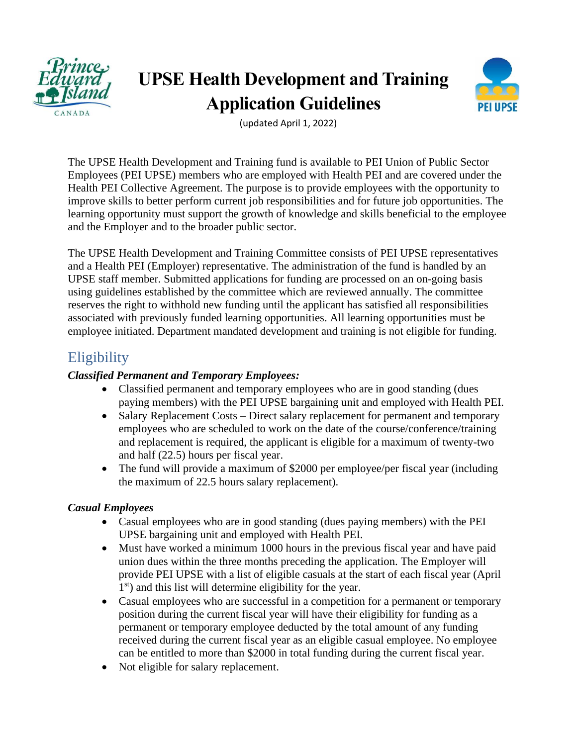

# **UPSE Health Development and Training Application Guidelines**



(updated April 1, 2022)

The UPSE Health Development and Training fund is available to PEI Union of Public Sector Employees (PEI UPSE) members who are employed with Health PEI and are covered under the Health PEI Collective Agreement. The purpose is to provide employees with the opportunity to improve skills to better perform current job responsibilities and for future job opportunities. The learning opportunity must support the growth of knowledge and skills beneficial to the employee and the Employer and to the broader public sector.

The UPSE Health Development and Training Committee consists of PEI UPSE representatives and a Health PEI (Employer) representative. The administration of the fund is handled by an UPSE staff member. Submitted applications for funding are processed on an on-going basis using guidelines established by the committee which are reviewed annually. The committee reserves the right to withhold new funding until the applicant has satisfied all responsibilities associated with previously funded learning opportunities. All learning opportunities must be employee initiated. Department mandated development and training is not eligible for funding.

### **Eligibility**

#### *Classified Permanent and Temporary Employees:*

- Classified permanent and temporary employees who are in good standing (dues paying members) with the PEI UPSE bargaining unit and employed with Health PEI.
- Salary Replacement Costs Direct salary replacement for permanent and temporary employees who are scheduled to work on the date of the course/conference/training and replacement is required, the applicant is eligible for a maximum of twenty-two and half (22.5) hours per fiscal year.
- The fund will provide a maximum of \$2000 per employee/per fiscal year (including the maximum of 22.5 hours salary replacement).

#### *Casual Employees*

- Casual employees who are in good standing (dues paying members) with the PEI UPSE bargaining unit and employed with Health PEI.
- Must have worked a minimum 1000 hours in the previous fiscal year and have paid union dues within the three months preceding the application. The Employer will provide PEI UPSE with a list of eligible casuals at the start of each fiscal year (April 1<sup>st</sup>) and this list will determine eligibility for the year.
- Casual employees who are successful in a competition for a permanent or temporary position during the current fiscal year will have their eligibility for funding as a permanent or temporary employee deducted by the total amount of any funding received during the current fiscal year as an eligible casual employee. No employee can be entitled to more than \$2000 in total funding during the current fiscal year.
- Not eligible for salary replacement.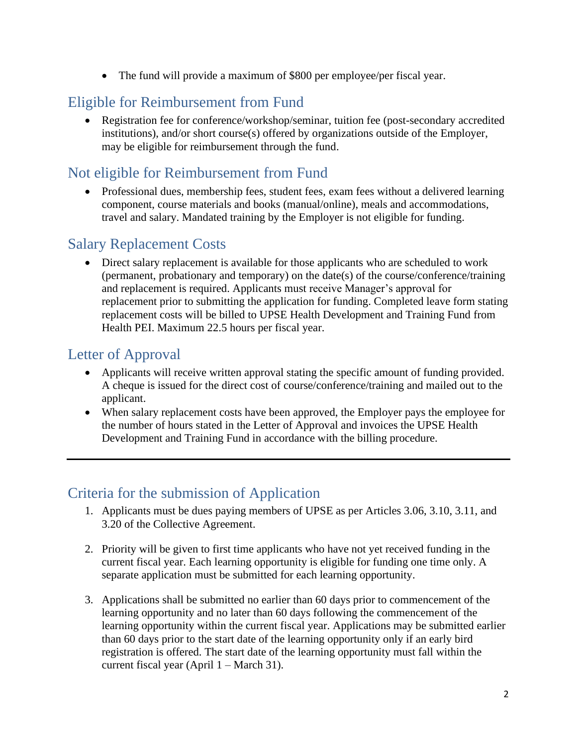• The fund will provide a maximum of \$800 per employee/per fiscal year.

# Eligible for Reimbursement from Fund

• Registration fee for conference/workshop/seminar, tuition fee (post-secondary accredited institutions), and/or short course(s) offered by organizations outside of the Employer, may be eligible for reimbursement through the fund.

## Not eligible for Reimbursement from Fund

• Professional dues, membership fees, student fees, exam fees without a delivered learning component, course materials and books (manual/online), meals and accommodations, travel and salary. Mandated training by the Employer is not eligible for funding.

### Salary Replacement Costs

• Direct salary replacement is available for those applicants who are scheduled to work (permanent, probationary and temporary) on the date(s) of the course/conference/training and replacement is required. Applicants must receive Manager's approval for replacement prior to submitting the application for funding. Completed leave form stating replacement costs will be billed to UPSE Health Development and Training Fund from Health PEI. Maximum 22.5 hours per fiscal year.

#### Letter of Approval

- Applicants will receive written approval stating the specific amount of funding provided. A cheque is issued for the direct cost of course/conference/training and mailed out to the applicant.
- When salary replacement costs have been approved, the Employer pays the employee for the number of hours stated in the Letter of Approval and invoices the UPSE Health Development and Training Fund in accordance with the billing procedure.

### Criteria for the submission of Application

- 1. Applicants must be dues paying members of UPSE as per Articles 3.06, 3.10, 3.11, and 3.20 of the Collective Agreement.
- 2. Priority will be given to first time applicants who have not yet received funding in the current fiscal year. Each learning opportunity is eligible for funding one time only. A separate application must be submitted for each learning opportunity.
- 3. Applications shall be submitted no earlier than 60 days prior to commencement of the learning opportunity and no later than 60 days following the commencement of the learning opportunity within the current fiscal year. Applications may be submitted earlier than 60 days prior to the start date of the learning opportunity only if an early bird registration is offered. The start date of the learning opportunity must fall within the current fiscal year (April 1 – March 31).